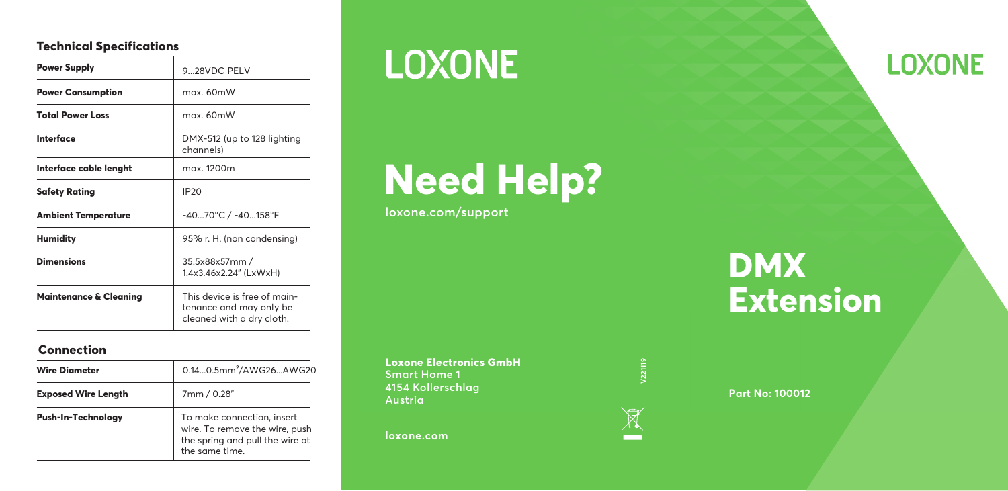#### **Technical Specifications**

| <b>Power Supply</b>               | 928VDC PELV                                                                          |
|-----------------------------------|--------------------------------------------------------------------------------------|
| <b>Power Consumption</b>          | max 60mW                                                                             |
| <b>Total Power Loss</b>           | max. 60mW                                                                            |
| Interface                         | DMX-512 (up to 128 lighting<br>channels)                                             |
| Interface cable lenght            | max. 1200m                                                                           |
| <b>Safety Rating</b>              | IP <sub>20</sub>                                                                     |
| <b>Ambient Temperature</b>        | -4070°C / -40158°F                                                                   |
| <b>Humidity</b>                   | 95% r. H. (non condensing)                                                           |
| <b>Dimensions</b>                 | 35.5x88x57mm /<br>1.4x3.46x2.24" (LxWxH)                                             |
| <b>Maintenance &amp; Cleaning</b> | This device is free of main-<br>tenance and may only be<br>cleaned with a dry cloth. |

#### **Connection**

| <b>Wire Diameter</b>       | 0.140.5mm <sup>2</sup> /AWG26AWG20                                                                                |
|----------------------------|-------------------------------------------------------------------------------------------------------------------|
| <b>Exposed Wire Length</b> | 7mm / 0.28"                                                                                                       |
| Push-In-Technology         | To make connection, insert<br>wire. To remove the wire, push<br>the spring and pull the wire at<br>the same time. |

## **LOXONE**

# **Need Help?**

**loxone.com/support**

**Loxone Electronics GmbH Smart Home 1 4154 Kollerschlag Austria**

**loxone.com**



#### **Part No: 100012**

### **DMX Extension**

**LOXONE**